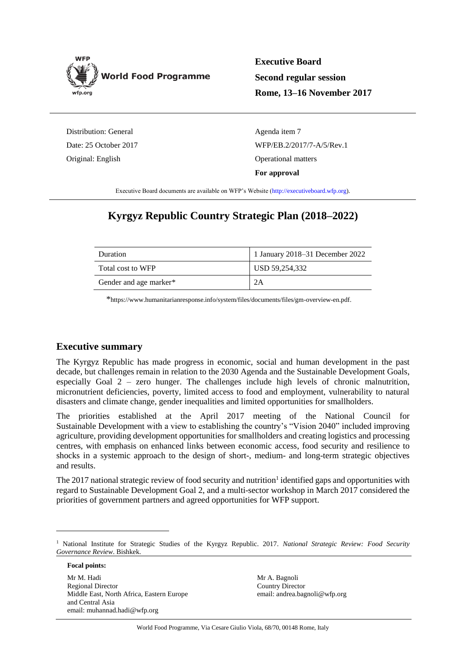

**Executive Board Second regular session Rome, 13–16 November 2017**

Distribution: General Date: 25 October 2017 Original: English

Agenda item 7 WFP/EB.2/2017/7-A/5/Rev.1 Operational matters **For approval**

Executive Board documents are available on WFP's Website [\(http://executiveboard.wfp.org\)](http://executiveboard.wfp.org/home).

# **Kyrgyz Republic Country Strategic Plan (2018–2022)**

| Duration               | 1 January 2018–31 December 2022 |
|------------------------|---------------------------------|
| Total cost to WFP      | USD 59,254,332                  |
| Gender and age marker* |                                 |

\*[https://www.humanitarianresponse.info/system/files/documents/files/gm-overview-en.pdf.](https://www.humanitarianresponse.info/system/files/documents/files/gm-overview-en.pdf)

## **Executive summary**

The Kyrgyz Republic has made progress in economic, social and human development in the past decade, but challenges remain in relation to the 2030 Agenda and the Sustainable Development Goals, especially Goal  $2 -$  zero hunger. The challenges include high levels of chronic malnutrition, micronutrient deficiencies, poverty, limited access to food and employment, vulnerability to natural disasters and climate change, gender inequalities and limited opportunities for smallholders.

The priorities established at the April 2017 meeting of the National Council for Sustainable Development with a view to establishing the country's "Vision 2040" included improving agriculture, providing development opportunities for smallholders and creating logistics and processing centres, with emphasis on enhanced links between economic access, food security and resilience to shocks in a systemic approach to the design of short-, medium- and long-term strategic objectives and results.

The 2017 national strategic review of food security and nutrition<sup>1</sup> identified gaps and opportunities with regard to Sustainable Development Goal 2, and a multi-sector workshop in March 2017 considered the priorities of government partners and agreed opportunities for WFP support.

**Focal points:**

-

Mr M. Hadi Regional Director Middle East, North Africa, Eastern Europe and Central Asia email: muhannad.hadi@wfp.org

Mr A. Bagnoli Country Director email: andrea.bagnoli@wfp.org

<sup>1</sup> National Institute for Strategic Studies of the Kyrgyz Republic. 2017. *National Strategic Review: Food Security Governance Review*. Bishkek.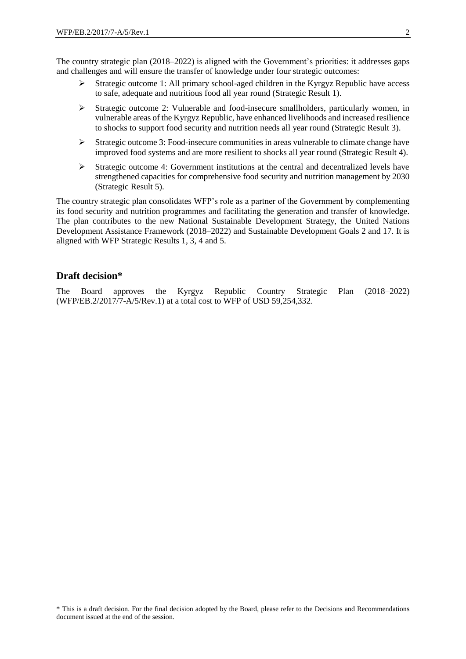The country strategic plan (2018–2022) is aligned with the Government's priorities: it addresses gaps and challenges and will ensure the transfer of knowledge under four strategic outcomes:

- $\triangleright$  Strategic outcome 1: All primary school-aged children in the Kyrgyz Republic have access to safe, adequate and nutritious food all year round (Strategic Result 1).
- $\triangleright$  Strategic outcome 2: Vulnerable and food-insecure smallholders, particularly women, in vulnerable areas of the Kyrgyz Republic, have enhanced livelihoods and increased resilience to shocks to support food security and nutrition needs all year round (Strategic Result 3).
- $\triangleright$  Strategic outcome 3: Food-insecure communities in areas vulnerable to climate change have improved food systems and are more resilient to shocks all year round (Strategic Result 4).
- $\triangleright$  Strategic outcome 4: Government institutions at the central and decentralized levels have strengthened capacities for comprehensive food security and nutrition management by 2030 (Strategic Result 5).

The country strategic plan consolidates WFP's role as a partner of the Government by complementing its food security and nutrition programmes and facilitating the generation and transfer of knowledge. The plan contributes to the new National Sustainable Development Strategy, the United Nations Development Assistance Framework (2018–2022) and Sustainable Development Goals 2 and 17. It is aligned with WFP Strategic Results 1, 3, 4 and 5.

## **Draft decision\***

1

The Board approves the Kyrgyz Republic Country Strategic Plan (2018–2022) (WFP/EB.2/2017/7-A/5/Rev.1) at a total cost to WFP of USD 59,254,332.

<sup>\*</sup> This is a draft decision. For the final decision adopted by the Board, please refer to the Decisions and Recommendations document issued at the end of the session.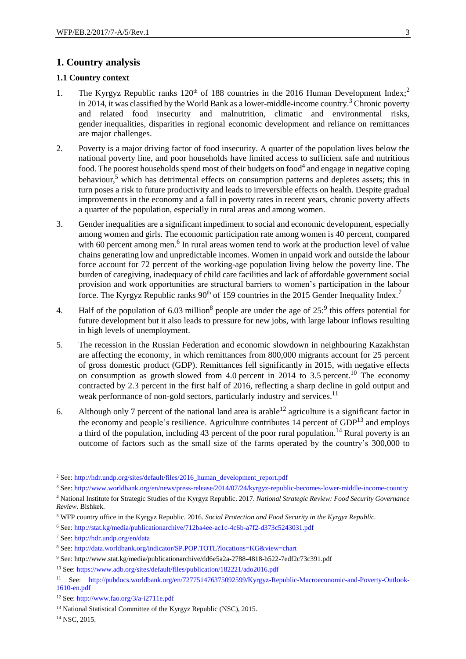## **1. Country analysis**

#### **1.1 Country context**

- 1. The Kyrgyz Republic ranks  $120<sup>th</sup>$  of 188 countries in the 2016 Human Development Index;<sup>2</sup> in 2014, it was classified by the World Bank as a lower-middle-income country. <sup>3</sup> Chronic poverty and related food insecurity and malnutrition, climatic and environmental risks, gender inequalities, disparities in regional economic development and reliance on remittances are major challenges.
- 2. Poverty is a major driving factor of food insecurity. A quarter of the population lives below the national poverty line, and poor households have limited access to sufficient safe and nutritious food. The poorest households spend most of their budgets on food<sup>4</sup> and engage in negative coping behaviour,<sup>5</sup> which has detrimental effects on consumption patterns and depletes assets; this in turn poses a risk to future productivity and leads to irreversible effects on health. Despite gradual improvements in the economy and a fall in poverty rates in recent years, chronic poverty affects a quarter of the population, especially in rural areas and among women.
- 3. Gender inequalities are a significant impediment to social and economic development, especially among women and girls. The economic participation rate among women is 40 percent, compared with 60 percent among men.<sup>6</sup> In rural areas women tend to work at the production level of value chains generating low and unpredictable incomes. Women in unpaid work and outside the labour force account for 72 percent of the working-age population living below the poverty line. The burden of caregiving, inadequacy of child care facilities and lack of affordable government social provision and work opportunities are structural barriers to women's participation in the labour force. The Kyrgyz Republic ranks  $90<sup>th</sup>$  of 159 countries in the 2015 Gender Inequality Index.<sup>7</sup>
- 4. Half of the population of 6.03 million<sup>8</sup> people are under the age of  $25$ : <sup>9</sup> this offers potential for future development but it also leads to pressure for new jobs, with large labour inflows resulting in high levels of unemployment.
- 5. The recession in the Russian Federation and economic slowdown in neighbouring Kazakhstan are affecting the economy, in which remittances from 800,000 migrants account for 25 percent of gross domestic product (GDP). Remittances fell significantly in 2015, with negative effects on consumption as growth slowed from 4.0 percent in 2014 to 3.5 percent.<sup>10</sup> The economy contracted by 2.3 percent in the first half of 2016, reflecting a sharp decline in gold output and weak performance of non-gold sectors, particularly industry and services.<sup>11</sup>
- 6. Although only 7 percent of the national land area is arable<sup>12</sup> agriculture is a significant factor in the economy and people's resilience. Agriculture contributes  $14$  percent of GDP<sup>13</sup> and employs a third of the population, including 43 percent of the poor rural population.<sup>14</sup> Rural poverty is an outcome of factors such as the small size of the farms operated by the country's 300,000 to

-

<sup>2</sup> See: [http://hdr.undp.org/sites/default/files/2016\\_human\\_development\\_report.pdf](http://hdr.undp.org/sites/default/files/2016_human_development_report.pdf)

<sup>3</sup> See:<http://www.worldbank.org/en/news/press-release/2014/07/24/kyrgyz-republic-becomes-lower-middle-income-country>

<sup>4</sup> National Institute for Strategic Studies of the Kyrgyz Republic. 2017. *National Strategic Review: Food Security Governance Review*. Bishkek.

<sup>5</sup> WFP country office in the Kyrgyz Republic. 2016. *Social Protection and Food Security in the Kyrgyz Republic.* 

<sup>6</sup> See:<http://stat.kg/media/publicationarchive/712ba4ee-ac1c-4c6b-a7f2-d373c5243031.pdf>

<sup>7</sup> See:<http://hdr.undp.org/en/data>

<sup>8</sup> See:<http://data.worldbank.org/indicator/SP.POP.TOTL?locations=KG&view=chart>

<sup>9</sup> See: http://www.stat.kg/media/publicationarchive/dd6e5a2a-2788-4818-b522-7edf2c73c391.pdf

<sup>10</sup> See:<https://www.adb.org/sites/default/files/publication/182221/ado2016.pdf>

<sup>11</sup> See: [http://pubdocs.worldbank.org/en/727751476375092599/Kyrgyz-Republic-Macroeconomic-and-Poverty-Outlook-](http://pubdocs.worldbank.org/en/727751476375092599/Kyrgyz-Republic-Macroeconomic-and-Poverty-Outlook-1610-en.pdf)[1610-en.pdf](http://pubdocs.worldbank.org/en/727751476375092599/Kyrgyz-Republic-Macroeconomic-and-Poverty-Outlook-1610-en.pdf)

<sup>12</sup> See:<http://www.fao.org/3/a-i2711e.pdf>

<sup>13</sup> National Statistical Committee of the Kyrgyz Republic (NSC), 2015.

<sup>14</sup> NSC, 2015.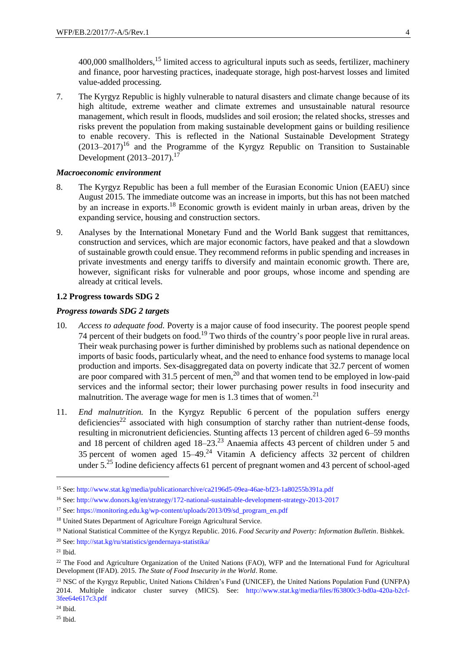400,000 smallholders,<sup>15</sup> limited access to agricultural inputs such as seeds, fertilizer, machinery and finance, poor harvesting practices, inadequate storage, high post-harvest losses and limited value-added processing.

7. The Kyrgyz Republic is highly vulnerable to natural disasters and climate change because of its high altitude, extreme weather and climate extremes and unsustainable natural resource management, which result in floods, mudslides and soil erosion; the related shocks, stresses and risks prevent the population from making sustainable development gains or building resilience to enable recovery. This is reflected in the National Sustainable Development Strategy  $(2013-2017)^{16}$  and the Programme of the Kyrgyz Republic on Transition to Sustainable Development (2013–2017).<sup>17</sup>

### *Macroeconomic environment*

- 8. The Kyrgyz Republic has been a full member of the Eurasian Economic Union (EAEU) since August 2015. The immediate outcome was an increase in imports, but this has not been matched by an increase in exports.<sup>18</sup> Economic growth is evident mainly in urban areas, driven by the expanding service, housing and construction sectors.
- 9. Analyses by the International Monetary Fund and the World Bank suggest that remittances, construction and services, which are major economic factors, have peaked and that a slowdown of sustainable growth could ensue. They recommend reforms in public spending and increases in private investments and energy tariffs to diversify and maintain economic growth. There are, however, significant risks for vulnerable and poor groups, whose income and spending are already at critical levels.

#### **1.2 Progress towards SDG 2**

#### *Progress towards SDG 2 targets*

- 10. *Access to adequate food.* Poverty is a major cause of food insecurity. The poorest people spend 74 percent of their budgets on food.<sup>19</sup> Two thirds of the country's poor people live in rural areas. Their weak purchasing power is further diminished by problems such as national dependence on imports of basic foods, particularly wheat, and the need to enhance food systems to manage local production and imports. Sex-disaggregated data on poverty indicate that 32.7 percent of women are poor compared with 31.5 percent of men,<sup>20</sup> and that women tend to be employed in low-paid services and the informal sector; their lower purchasing power results in food insecurity and malnutrition. The average wage for men is  $1.3$  times that of women.<sup>21</sup>
- 11. *End malnutrition.* In the Kyrgyz Republic 6 percent of the population suffers energy deficiencies<sup>22</sup> associated with high consumption of starchy rather than nutrient-dense foods, resulting in micronutrient deficiencies. Stunting affects 13 percent of children aged 6–59 months and 18 percent of children aged 18–23.<sup>23</sup> Anaemia affects 43 percent of children under 5 and 35 percent of women aged  $15-49$ <sup>24</sup> Vitamin A deficiency affects 32 percent of children under  $5.^{25}$  Iodine deficiency affects 61 percent of pregnant women and 43 percent of school-aged

1

<sup>15</sup> See:<http://www.stat.kg/media/publicationarchive/ca2196d5-09ea-46ae-bf23-1a80255b391a.pdf>

<sup>16</sup> See:<http://www.donors.kg/en/strategy/172-national-sustainable-development-strategy-2013-2017>

<sup>&</sup>lt;sup>17</sup> See: [https://monitoring.edu.kg/wp-content/uploads/2013/09/sd\\_program\\_en.pdf](https://monitoring.edu.kg/wp-content/uploads/2013/09/sd_program_en.pdf)

<sup>&</sup>lt;sup>18</sup> United States Department of Agriculture Foreign Agricultural Service.

<sup>19</sup> National Statistical Committee of the Kyrgyz Republic. 2016. *Food Security and Poverty: Information Bulletin*. Bishkek.

<sup>20</sup> See: <http://stat.kg/ru/statistics/gendernaya-statistika/>

 $21$  Ibid.

<sup>&</sup>lt;sup>22</sup> The Food and Agriculture Organization of the United Nations (FAO), WFP and the International Fund for Agricultural Development (IFAD). 2015. *The State of Food Insecurity in the World*. Rome.

<sup>&</sup>lt;sup>23</sup> NSC of the Kyrgyz Republic, United Nations Children's Fund (UNICEF), the United Nations Population Fund (UNFPA) 2014. Multiple indicator cluster survey (MICS). See: [http://www.stat.kg/media/files/f63800c3-bd0a-420a-b2cf-](http://www.stat.kg/media/files/f63800c3-bd0a-420a-b2cf-3fee64e617c3.pdf)[3fee64e617c3.pdf](http://www.stat.kg/media/files/f63800c3-bd0a-420a-b2cf-3fee64e617c3.pdf)

<sup>25</sup> Ibid.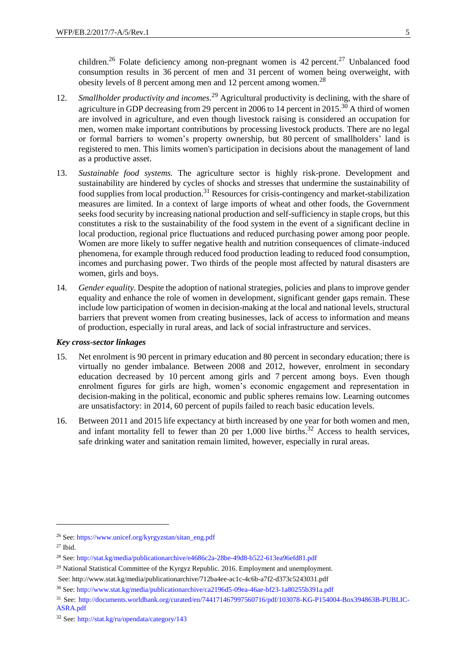children.<sup>26</sup> Folate deficiency among non-pregnant women is 42 percent.<sup>27</sup> Unbalanced food consumption results in 36 percent of men and 31 percent of women being overweight, with obesity levels of 8 percent among men and 12 percent among women.<sup>28</sup>

- 12. *Smallholder productivity and incomes.*<sup>29</sup> Agricultural productivity is declining, with the share of agriculture in GDP decreasing from 29 percent in 2006 to 14 percent in 2015.<sup>30</sup> A third of women are involved in agriculture, and even though livestock raising is considered an occupation for men, women make important contributions by processing livestock products. There are no legal or formal barriers to women's property ownership, but 80 percent of smallholders' land is registered to men. This limits women's participation in decisions about the management of land as a productive asset.
- 13. *Sustainable food systems.* The agriculture sector is highly risk-prone. Development and sustainability are hindered by cycles of shocks and stresses that undermine the sustainability of food supplies from local production.<sup>31</sup> Resources for crisis-contingency and market-stabilization measures are limited. In a context of large imports of wheat and other foods, the Government seeks food security by increasing national production and self-sufficiency in staple crops, but this constitutes a risk to the sustainability of the food system in the event of a significant decline in local production, regional price fluctuations and reduced purchasing power among poor people. Women are more likely to suffer negative health and nutrition consequences of climate-induced phenomena, for example through reduced food production leading to reduced food consumption, incomes and purchasing power. Two thirds of the people most affected by natural disasters are women, girls and boys.
- 14. *Gender equality.* Despite the adoption of national strategies, policies and plans to improve gender equality and enhance the role of women in development, significant gender gaps remain. These include low participation of women in decision-making at the local and national levels, structural barriers that prevent women from creating businesses, lack of access to information and means of production, especially in rural areas, and lack of social infrastructure and services.

#### *Key cross-sector linkages*

- 15. Net enrolment is 90 percent in primary education and 80 percent in secondary education; there is virtually no gender imbalance. Between 2008 and 2012, however, enrolment in secondary education decreased by 10 percent among girls and 7 percent among boys. Even though enrolment figures for girls are high, women's economic engagement and representation in decision-making in the political, economic and public spheres remains low. Learning outcomes are unsatisfactory: in 2014, 60 percent of pupils failed to reach basic education levels.
- 16. Between 2011 and 2015 life expectancy at birth increased by one year for both women and men, and infant mortality fell to fewer than 20 per  $1,000$  live births.<sup>32</sup> Access to health services, safe drinking water and sanitation remain limited, however, especially in rural areas.

1

<sup>26</sup> See: [https://www.unicef.org/kyrgyzstan/sitan\\_eng.pdf](https://www.unicef.org/kyrgyzstan/sitan_eng.pdf)

<sup>27</sup> Ibid.

<sup>28</sup> See: <http://stat.kg/media/publicationarchive/e4686c2a-28be-49d8-b522-613ea96efd81.pdf>

<sup>&</sup>lt;sup>29</sup> National Statistical Committee of the Kyrgyz Republic. 2016. Employment and unemployment.

See: http://www.stat.kg/media/publicationarchive/712ba4ee-ac1c-4c6b-a7f2-d373c5243031.pdf

<sup>30</sup> See:<http://www.stat.kg/media/publicationarchive/ca2196d5-09ea-46ae-bf23-1a80255b391a.pdf>

<sup>31</sup> See: [http://documents.worldbank.org/curated/en/744171467997560716/pdf/103078-KG-P154004-Box394863B-PUBLIC-](http://documents.worldbank.org/curated/en/744171467997560716/pdf/103078-KG-P154004-Box394863B-PUBLIC-ASRA.pdf)[ASRA.pdf](http://documents.worldbank.org/curated/en/744171467997560716/pdf/103078-KG-P154004-Box394863B-PUBLIC-ASRA.pdf)

<sup>32</sup> See: <http://stat.kg/ru/opendata/category/143>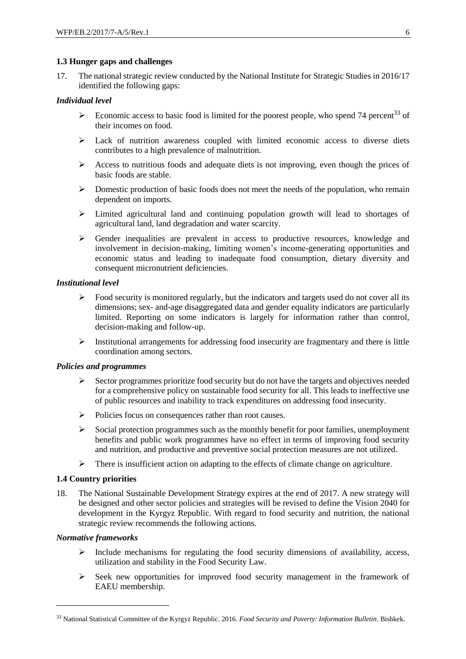## **1.3 Hunger gaps and challenges**

17. The national strategic review conducted by the National Institute for Strategic Studies in 2016/17 identified the following gaps:

## *Individual level*

- Economic access to basic food is limited for the poorest people, who spend 74 percent<sup>33</sup> of their incomes on food.
- $\triangleright$  Lack of nutrition awareness coupled with limited economic access to diverse diets contributes to a high prevalence of malnutrition.
- $\triangleright$  Access to nutritious foods and adequate diets is not improving, even though the prices of basic foods are stable.
- $\triangleright$  Domestic production of basic foods does not meet the needs of the population, who remain dependent on imports.
- Limited agricultural land and continuing population growth will lead to shortages of agricultural land, land degradation and water scarcity.
- Gender inequalities are prevalent in access to productive resources, knowledge and involvement in decision-making, limiting women's income-generating opportunities and economic status and leading to inadequate food consumption, dietary diversity and consequent micronutrient deficiencies.

### *Institutional level*

- $\triangleright$  Food security is monitored regularly, but the indicators and targets used do not cover all its dimensions; sex- and-age disaggregated data and gender equality indicators are particularly limited. Reporting on some indicators is largely for information rather than control, decision-making and follow-up.
- $\triangleright$  Institutional arrangements for addressing food insecurity are fragmentary and there is little coordination among sectors.

## *Policies and programmes*

- $\triangleright$  Sector programmes prioritize food security but do not have the targets and objectives needed for a comprehensive policy on sustainable food security for all. This leads to ineffective use of public resources and inability to track expenditures on addressing food insecurity.
- Policies focus on consequences rather than root causes.
- $\triangleright$  Social protection programmes such as the monthly benefit for poor families, unemployment benefits and public work programmes have no effect in terms of improving food security and nutrition, and productive and preventive social protection measures are not utilized.
- $\triangleright$  There is insufficient action on adapting to the effects of climate change on agriculture.

## **1.4 Country priorities**

18. The National Sustainable Development Strategy expires at the end of 2017. A new strategy will be designed and other sector policies and strategies will be revised to define the Vision 2040 for development in the Kyrgyz Republic. With regard to food security and nutrition, the national strategic review recommends the following actions.

## *Normative frameworks*

1

- $\triangleright$  Include mechanisms for regulating the food security dimensions of availability, access, utilization and stability in the Food Security Law.
- $\triangleright$  Seek new opportunities for improved food security management in the framework of EAEU membership.

<sup>33</sup> National Statistical Committee of the Kyrgyz Republic. 2016. *Food Security and Poverty: Information Bulletin*. Bishkek.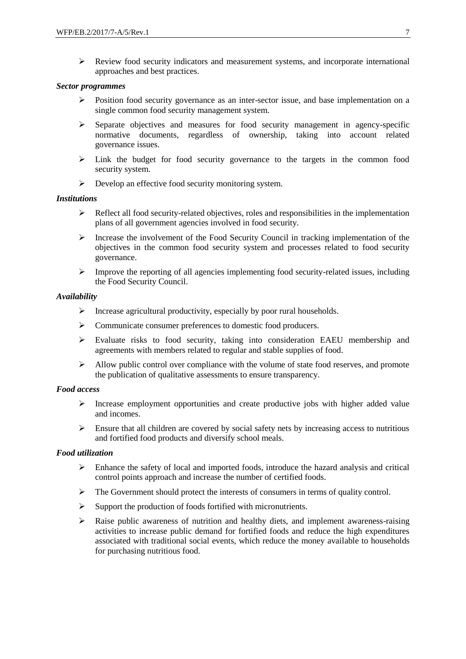$\triangleright$  Review food security indicators and measurement systems, and incorporate international approaches and best practices.

#### *Sector programmes*

- $\triangleright$  Position food security governance as an inter-sector issue, and base implementation on a single common food security management system.
- $\triangleright$  Separate objectives and measures for food security management in agency-specific normative documents, regardless of ownership, taking into account related governance issues.
- $\geq$  Link the budget for food security governance to the targets in the common food security system.
- $\triangleright$  Develop an effective food security monitoring system.

#### *Institutions*

- $\triangleright$  Reflect all food security-related objectives, roles and responsibilities in the implementation plans of all government agencies involved in food security.
- $\triangleright$  Increase the involvement of the Food Security Council in tracking implementation of the objectives in the common food security system and processes related to food security governance.
- $\triangleright$  Improve the reporting of all agencies implementing food security-related issues, including the Food Security Council.

#### *Availability*

- $\triangleright$  Increase agricultural productivity, especially by poor rural households.
- $\triangleright$  Communicate consumer preferences to domestic food producers.
- $\triangleright$  Evaluate risks to food security, taking into consideration EAEU membership and agreements with members related to regular and stable supplies of food.
- $\triangleright$  Allow public control over compliance with the volume of state food reserves, and promote the publication of qualitative assessments to ensure transparency.

## *Food access*

- $\triangleright$  Increase employment opportunities and create productive jobs with higher added value and incomes.
- $\triangleright$  Ensure that all children are covered by social safety nets by increasing access to nutritious and fortified food products and diversify school meals.

#### *Food utilization*

- $\triangleright$  Enhance the safety of local and imported foods, introduce the hazard analysis and critical control points approach and increase the number of certified foods.
- $\triangleright$  The Government should protect the interests of consumers in terms of quality control.
- $\triangleright$  Support the production of foods fortified with micronutrients.
- $\triangleright$  Raise public awareness of nutrition and healthy diets, and implement awareness-raising activities to increase public demand for fortified foods and reduce the high expenditures associated with traditional social events, which reduce the money available to households for purchasing nutritious food.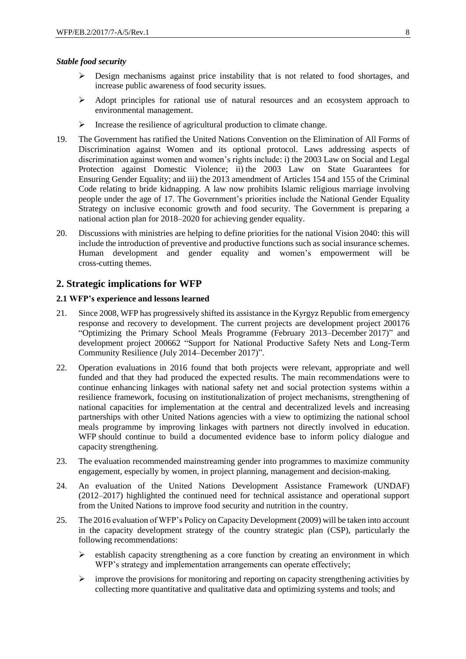#### *Stable food security*

- $\triangleright$  Design mechanisms against price instability that is not related to food shortages, and increase public awareness of food security issues.
- $\triangleright$  Adopt principles for rational use of natural resources and an ecosystem approach to environmental management.
- $\triangleright$  Increase the resilience of agricultural production to climate change.
- 19. The Government has ratified the United Nations Convention on the Elimination of All Forms of Discrimination against Women and its optional protocol. Laws addressing aspects of discrimination against women and women's rights include: i) the 2003 Law on Social and Legal Protection against Domestic Violence; ii) the 2003 Law on State Guarantees for Ensuring Gender Equality; and iii) the 2013 amendment of Articles 154 and 155 of the Criminal Code relating to bride kidnapping. A law now prohibits Islamic religious marriage involving people under the age of 17. The Government's priorities include the National Gender Equality Strategy on inclusive economic growth and food security. The Government is preparing a national action plan for 2018–2020 for achieving gender equality.
- 20. Discussions with ministries are helping to define priorities for the national Vision 2040: this will include the introduction of preventive and productive functions such as social insurance schemes. Human development and gender equality and women's empowerment will be cross-cutting themes.

## **2. Strategic implications for WFP**

### **2.1 WFP's experience and lessons learned**

- 21. Since 2008, WFP has progressively shifted its assistance in the Kyrgyz Republic from emergency response and recovery to development. The current projects are development project 200176 "Optimizing the Primary School Meals Programme (February 2013–December 2017)" and development project 200662 "Support for National Productive Safety Nets and Long-Term Community Resilience (July 2014–December 2017)".
- 22. Operation evaluations in 2016 found that both projects were relevant, appropriate and well funded and that they had produced the expected results. The main recommendations were to continue enhancing linkages with national safety net and social protection systems within a resilience framework, focusing on institutionalization of project mechanisms, strengthening of national capacities for implementation at the central and decentralized levels and increasing partnerships with other United Nations agencies with a view to optimizing the national school meals programme by improving linkages with partners not directly involved in education. WFP should continue to build a documented evidence base to inform policy dialogue and capacity strengthening.
- 23. The evaluation recommended mainstreaming gender into programmes to maximize community engagement, especially by women, in project planning, management and decision-making.
- 24. An evaluation of the United Nations Development Assistance Framework (UNDAF) (2012–2017) highlighted the continued need for technical assistance and operational support from the United Nations to improve food security and nutrition in the country.
- 25. The 2016 evaluation of WFP's Policy on Capacity Development (2009) will be taken into account in the capacity development strategy of the country strategic plan (CSP), particularly the following recommendations:
	- $\triangleright$  establish capacity strengthening as a core function by creating an environment in which WFP's strategy and implementation arrangements can operate effectively;
	- $\triangleright$  improve the provisions for monitoring and reporting on capacity strengthening activities by collecting more quantitative and qualitative data and optimizing systems and tools; and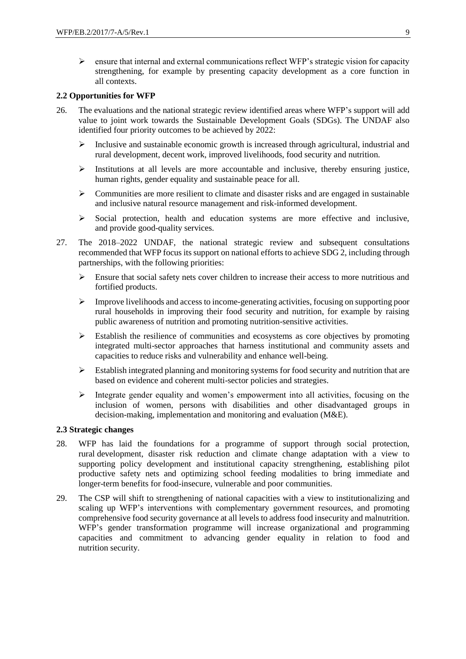$\triangleright$  ensure that internal and external communications reflect WFP's strategic vision for capacity strengthening, for example by presenting capacity development as a core function in all contexts.

## **2.2 Opportunities for WFP**

- 26. The evaluations and the national strategic review identified areas where WFP's support will add value to joint work towards the Sustainable Development Goals (SDGs). The UNDAF also identified four priority outcomes to be achieved by 2022:
	- $\triangleright$  Inclusive and sustainable economic growth is increased through agricultural, industrial and rural development, decent work, improved livelihoods, food security and nutrition.
	- $\triangleright$  Institutions at all levels are more accountable and inclusive, thereby ensuring justice, human rights, gender equality and sustainable peace for all.
	- $\triangleright$  Communities are more resilient to climate and disaster risks and are engaged in sustainable and inclusive natural resource management and risk-informed development.
	- $\triangleright$  Social protection, health and education systems are more effective and inclusive, and provide good-quality services.
- 27. The 2018–2022 UNDAF, the national strategic review and subsequent consultations recommended that WFP focus its support on national efforts to achieve SDG 2, including through partnerships, with the following priorities:
	- $\triangleright$  Ensure that social safety nets cover children to increase their access to more nutritious and fortified products.
	- $\triangleright$  Improve livelihoods and access to income-generating activities, focusing on supporting poor rural households in improving their food security and nutrition, for example by raising public awareness of nutrition and promoting nutrition-sensitive activities.
	- Establish the resilience of communities and ecosystems as core objectives by promoting integrated multi-sector approaches that harness institutional and community assets and capacities to reduce risks and vulnerability and enhance well-being.
	- $\triangleright$  Establish integrated planning and monitoring systems for food security and nutrition that are based on evidence and coherent multi-sector policies and strategies.
	- $\triangleright$  Integrate gender equality and women's empowerment into all activities, focusing on the inclusion of women, persons with disabilities and other disadvantaged groups in decision-making, implementation and monitoring and evaluation (M&E).

## **2.3 Strategic changes**

- 28. WFP has laid the foundations for a programme of support through social protection, rural development, disaster risk reduction and climate change adaptation with a view to supporting policy development and institutional capacity strengthening, establishing pilot productive safety nets and optimizing school feeding modalities to bring immediate and longer-term benefits for food-insecure, vulnerable and poor communities.
- 29. The CSP will shift to strengthening of national capacities with a view to institutionalizing and scaling up WFP's interventions with complementary government resources, and promoting comprehensive food security governance at all levels to address food insecurity and malnutrition. WFP's gender transformation programme will increase organizational and programming capacities and commitment to advancing gender equality in relation to food and nutrition security.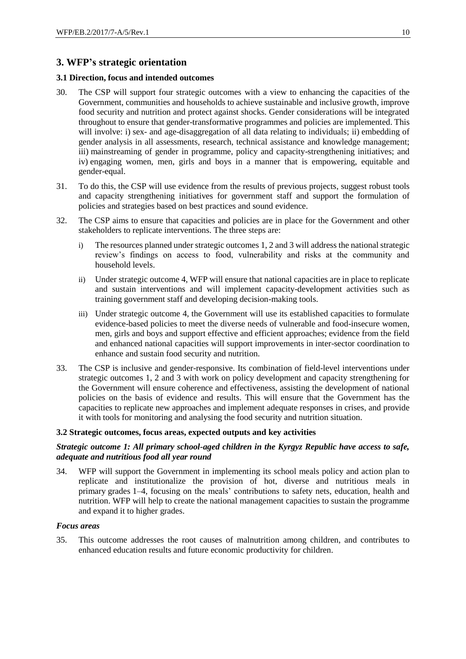## **3. WFP's strategic orientation**

## **3.1 Direction, focus and intended outcomes**

- 30. The CSP will support four strategic outcomes with a view to enhancing the capacities of the Government, communities and households to achieve sustainable and inclusive growth, improve food security and nutrition and protect against shocks. Gender considerations will be integrated throughout to ensure that gender-transformative programmes and policies are implemented. This will involve: i) sex- and age-disaggregation of all data relating to individuals; ii) embedding of gender analysis in all assessments, research, technical assistance and knowledge management; iii) mainstreaming of gender in programme, policy and capacity-strengthening initiatives; and iv) engaging women, men, girls and boys in a manner that is empowering, equitable and gender-equal.
- 31. To do this, the CSP will use evidence from the results of previous projects, suggest robust tools and capacity strengthening initiatives for government staff and support the formulation of policies and strategies based on best practices and sound evidence.
- 32. The CSP aims to ensure that capacities and policies are in place for the Government and other stakeholders to replicate interventions. The three steps are:
	- i) The resources planned under strategic outcomes 1, 2 and 3 will address the national strategic review's findings on access to food, vulnerability and risks at the community and household levels.
	- ii) Under strategic outcome 4, WFP will ensure that national capacities are in place to replicate and sustain interventions and will implement capacity-development activities such as training government staff and developing decision-making tools.
	- iii) Under strategic outcome 4, the Government will use its established capacities to formulate evidence-based policies to meet the diverse needs of vulnerable and food-insecure women, men, girls and boys and support effective and efficient approaches; evidence from the field and enhanced national capacities will support improvements in inter-sector coordination to enhance and sustain food security and nutrition.
- 33. The CSP is inclusive and gender-responsive. Its combination of field-level interventions under strategic outcomes 1, 2 and 3 with work on policy development and capacity strengthening for the Government will ensure coherence and effectiveness, assisting the development of national policies on the basis of evidence and results. This will ensure that the Government has the capacities to replicate new approaches and implement adequate responses in crises, and provide it with tools for monitoring and analysing the food security and nutrition situation.

## **3.2 Strategic outcomes, focus areas, expected outputs and key activities**

## *Strategic outcome 1: All primary school-aged children in the Kyrgyz Republic have access to safe, adequate and nutritious food all year round*

34. WFP will support the Government in implementing its school meals policy and action plan to replicate and institutionalize the provision of hot, diverse and nutritious meals in primary grades 1–4, focusing on the meals' contributions to safety nets, education, health and nutrition. WFP will help to create the national management capacities to sustain the programme and expand it to higher grades.

#### *Focus areas*

35. This outcome addresses the root causes of malnutrition among children, and contributes to enhanced education results and future economic productivity for children.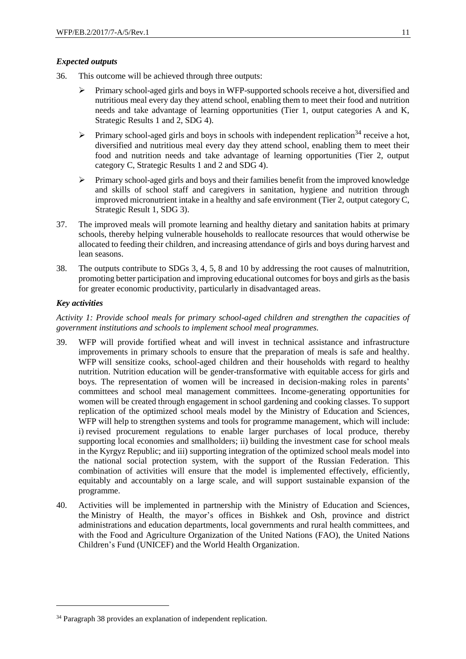## *Expected outputs*

- 36. This outcome will be achieved through three outputs:
	- Primary school-aged girls and boys in WFP-supported schools receive a hot, diversified and nutritious meal every day they attend school, enabling them to meet their food and nutrition needs and take advantage of learning opportunities (Tier 1, output categories A and K, Strategic Results 1 and 2, SDG 4).
	- $\triangleright$  Primary school-aged girls and boys in schools with independent replication<sup>34</sup> receive a hot, diversified and nutritious meal every day they attend school, enabling them to meet their food and nutrition needs and take advantage of learning opportunities (Tier 2, output category C, Strategic Results 1 and 2 and SDG 4).
	- $\triangleright$  Primary school-aged girls and boys and their families benefit from the improved knowledge and skills of school staff and caregivers in sanitation, hygiene and nutrition through improved micronutrient intake in a healthy and safe environment (Tier 2, output category C, Strategic Result 1, SDG 3).
- 37. The improved meals will promote learning and healthy dietary and sanitation habits at primary schools, thereby helping vulnerable households to reallocate resources that would otherwise be allocated to feeding their children, and increasing attendance of girls and boys during harvest and lean seasons.
- 38. The outputs contribute to SDGs 3, 4, 5, 8 and 10 by addressing the root causes of malnutrition, promoting better participation and improving educational outcomes for boys and girls asthe basis for greater economic productivity, particularly in disadvantaged areas.

## *Key activities*

1

*Activity 1: Provide school meals for primary school-aged children and strengthen the capacities of government institutions and schools to implement school meal programmes.*

- 39. WFP will provide fortified wheat and will invest in technical assistance and infrastructure improvements in primary schools to ensure that the preparation of meals is safe and healthy. WFP will sensitize cooks, school-aged children and their households with regard to healthy nutrition. Nutrition education will be gender-transformative with equitable access for girls and boys. The representation of women will be increased in decision-making roles in parents' committees and school meal management committees. Income-generating opportunities for women will be created through engagement in school gardening and cooking classes. To support replication of the optimized school meals model by the Ministry of Education and Sciences, WFP will help to strengthen systems and tools for programme management, which will include: i) revised procurement regulations to enable larger purchases of local produce, thereby supporting local economies and smallholders; ii) building the investment case for school meals in the Kyrgyz Republic; and iii) supporting integration of the optimized school meals model into the national social protection system, with the support of the Russian Federation. This combination of activities will ensure that the model is implemented effectively, efficiently, equitably and accountably on a large scale, and will support sustainable expansion of the programme.
- 40. Activities will be implemented in partnership with the Ministry of Education and Sciences, the Ministry of Health, the mayor's offices in Bishkek and Osh, province and district administrations and education departments, local governments and rural health committees, and with the Food and Agriculture Organization of the United Nations (FAO), the United Nations Children's Fund (UNICEF) and the World Health Organization.

<sup>&</sup>lt;sup>34</sup> Paragraph 38 provides an explanation of independent replication.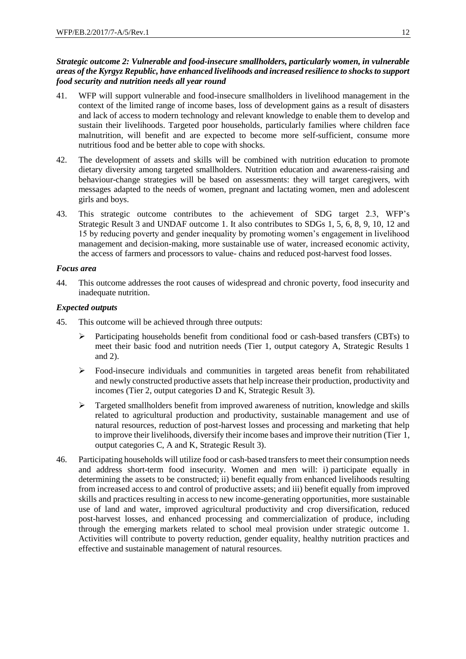## *Strategic outcome 2: Vulnerable and food-insecure smallholders, particularly women, in vulnerable areas of the Kyrgyz Republic, have enhanced livelihoods and increased resilience to shocks to support food security and nutrition needs all year round*

- 41. WFP will support vulnerable and food-insecure smallholders in livelihood management in the context of the limited range of income bases, loss of development gains as a result of disasters and lack of access to modern technology and relevant knowledge to enable them to develop and sustain their livelihoods. Targeted poor households, particularly families where children face malnutrition, will benefit and are expected to become more self-sufficient, consume more nutritious food and be better able to cope with shocks.
- 42. The development of assets and skills will be combined with nutrition education to promote dietary diversity among targeted smallholders. Nutrition education and awareness-raising and behaviour-change strategies will be based on assessments: they will target caregivers, with messages adapted to the needs of women, pregnant and lactating women, men and adolescent girls and boys.
- 43. This strategic outcome contributes to the achievement of SDG target 2.3, WFP's Strategic Result 3 and UNDAF outcome 1. It also contributes to SDGs 1, 5, 6, 8, 9, 10, 12 and 15 by reducing poverty and gender inequality by promoting women's engagement in livelihood management and decision-making, more sustainable use of water, increased economic activity, the access of farmers and processors to value- chains and reduced post-harvest food losses.

## *Focus area*

44. This outcome addresses the root causes of widespread and chronic poverty, food insecurity and inadequate nutrition.

## *Expected outputs*

- 45. This outcome will be achieved through three outputs:
	- Participating households benefit from conditional food or cash-based transfers (CBTs) to meet their basic food and nutrition needs (Tier 1, output category A, Strategic Results 1 and 2).
	- $\triangleright$  Food-insecure individuals and communities in targeted areas benefit from rehabilitated and newly constructed productive assets that help increase their production, productivity and incomes (Tier 2, output categories D and K, Strategic Result 3).
	- $\triangleright$  Targeted smallholders benefit from improved awareness of nutrition, knowledge and skills related to agricultural production and productivity, sustainable management and use of natural resources, reduction of post-harvest losses and processing and marketing that help to improve their livelihoods, diversify their income bases and improve their nutrition (Tier 1, output categories C, A and K, Strategic Result 3).
- 46. Participating households will utilize food or cash-based transfers to meet their consumption needs and address short-term food insecurity. Women and men will: i) participate equally in determining the assets to be constructed; ii) benefit equally from enhanced livelihoods resulting from increased access to and control of productive assets; and iii) benefit equally from improved skills and practices resulting in access to new income-generating opportunities, more sustainable use of land and water, improved agricultural productivity and crop diversification, reduced post-harvest losses, and enhanced processing and commercialization of produce, including through the emerging markets related to school meal provision under strategic outcome 1. Activities will contribute to poverty reduction, gender equality, healthy nutrition practices and effective and sustainable management of natural resources.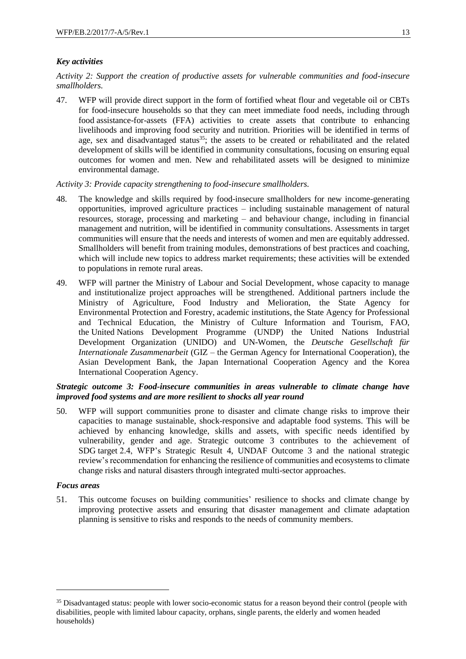## *Key activities*

*Activity 2: Support the creation of productive assets for vulnerable communities and food-insecure smallholders.* 

47. WFP will provide direct support in the form of fortified wheat flour and vegetable oil or CBTs for food-insecure households so that they can meet immediate food needs, including through food assistance-for-assets (FFA) activities to create assets that contribute to enhancing livelihoods and improving food security and nutrition. Priorities will be identified in terms of age, sex and disadvantaged status $35$ ; the assets to be created or rehabilitated and the related development of skills will be identified in community consultations, focusing on ensuring equal outcomes for women and men. New and rehabilitated assets will be designed to minimize environmental damage.

*Activity 3: Provide capacity strengthening to food-insecure smallholders.*

- 48. The knowledge and skills required by food-insecure smallholders for new income-generating opportunities, improved agriculture practices – including sustainable management of natural resources, storage, processing and marketing – and behaviour change, including in financial management and nutrition, will be identified in community consultations. Assessments in target communities will ensure that the needs and interests of women and men are equitably addressed. Smallholders will benefit from training modules, demonstrations of best practices and coaching, which will include new topics to address market requirements; these activities will be extended to populations in remote rural areas.
- 49. WFP will partner the Ministry of Labour and Social Development, whose capacity to manage and institutionalize project approaches will be strengthened. Additional partners include the Ministry of Agriculture, Food Industry and Melioration, the State Agency for Environmental Protection and Forestry, academic institutions, the State Agency for Professional and Technical Education, the Ministry of Culture Information and Tourism, FAO, the United Nations Development Programme (UNDP) the United Nations Industrial Development Organization (UNIDO) and UN-Women, the *Deutsche Gesellschaft für Internationale Zusammenarbeit* (GIZ – the German Agency for International Cooperation), the Asian Development Bank, the Japan International Cooperation Agency and the Korea International Cooperation Agency.

## *Strategic outcome 3: Food-insecure communities in areas vulnerable to climate change have improved food systems and are more resilient to shocks all year round*

50. WFP will support communities prone to disaster and climate change risks to improve their capacities to manage sustainable, shock-responsive and adaptable food systems. This will be achieved by enhancing knowledge, skills and assets, with specific needs identified by vulnerability, gender and age. Strategic outcome 3 contributes to the achievement of SDG target 2.4, WFP's Strategic Result 4, UNDAF Outcome 3 and the national strategic review's recommendation for enhancing the resilience of communities and ecosystems to climate change risks and natural disasters through integrated multi-sector approaches.

## *Focus areas*

-

51. This outcome focuses on building communities' resilience to shocks and climate change by improving protective assets and ensuring that disaster management and climate adaptation planning is sensitive to risks and responds to the needs of community members.

<sup>&</sup>lt;sup>35</sup> Disadvantaged status: people with lower socio-economic status for a reason beyond their control (people with disabilities, people with limited labour capacity, orphans, single parents, the elderly and women headed households)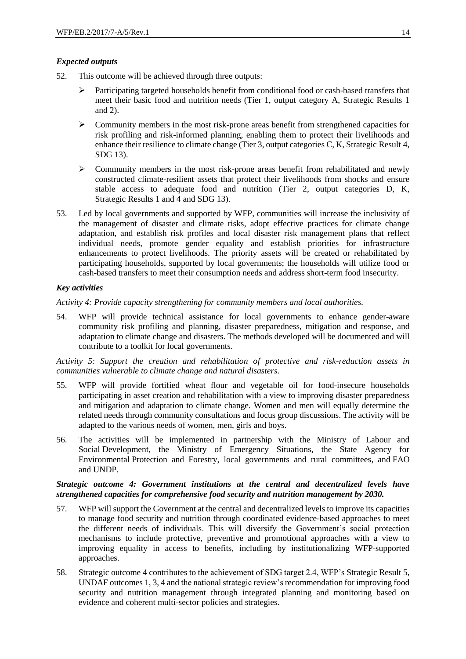## *Expected outputs*

- 52. This outcome will be achieved through three outputs:
	- Participating targeted households benefit from conditional food or cash-based transfers that meet their basic food and nutrition needs (Tier 1, output category A, Strategic Results 1 and 2).
	- $\triangleright$  Community members in the most risk-prone areas benefit from strengthened capacities for risk profiling and risk-informed planning, enabling them to protect their livelihoods and enhance their resilience to climate change (Tier 3, output categories C, K, Strategic Result 4, SDG 13).
	- Community members in the most risk-prone areas benefit from rehabilitated and newly constructed climate-resilient assets that protect their livelihoods from shocks and ensure stable access to adequate food and nutrition (Tier 2, output categories D, K, Strategic Results 1 and 4 and SDG 13).
- 53. Led by local governments and supported by WFP, communities will increase the inclusivity of the management of disaster and climate risks, adopt effective practices for climate change adaptation, and establish risk profiles and local disaster risk management plans that reflect individual needs, promote gender equality and establish priorities for infrastructure enhancements to protect livelihoods. The priority assets will be created or rehabilitated by participating households, supported by local governments; the households will utilize food or cash-based transfers to meet their consumption needs and address short-term food insecurity.

## *Key activities*

*Activity 4: Provide capacity strengthening for community members and local authorities.*

54. WFP will provide technical assistance for local governments to enhance gender-aware community risk profiling and planning, disaster preparedness, mitigation and response, and adaptation to climate change and disasters. The methods developed will be documented and will contribute to a toolkit for local governments.

*Activity 5: Support the creation and rehabilitation of protective and risk-reduction assets in communities vulnerable to climate change and natural disasters.* 

- 55. WFP will provide fortified wheat flour and vegetable oil for food-insecure households participating in asset creation and rehabilitation with a view to improving disaster preparedness and mitigation and adaptation to climate change. Women and men will equally determine the related needs through community consultations and focus group discussions. The activity will be adapted to the various needs of women, men, girls and boys.
- 56. The activities will be implemented in partnership with the Ministry of Labour and Social Development, the Ministry of Emergency Situations, the State Agency for Environmental Protection and Forestry, local governments and rural committees, and FAO and UNDP.

## *Strategic outcome 4: Government institutions at the central and decentralized levels have strengthened capacities for comprehensive food security and nutrition management by 2030.*

- 57. WFP will support the Government at the central and decentralized levels to improve its capacities to manage food security and nutrition through coordinated evidence-based approaches to meet the different needs of individuals. This will diversify the Government's social protection mechanisms to include protective, preventive and promotional approaches with a view to improving equality in access to benefits, including by institutionalizing WFP-supported approaches.
- 58. Strategic outcome 4 contributes to the achievement of SDG target 2.4, WFP's Strategic Result 5, UNDAF outcomes 1, 3, 4 and the national strategic review's recommendation for improving food security and nutrition management through integrated planning and monitoring based on evidence and coherent multi-sector policies and strategies.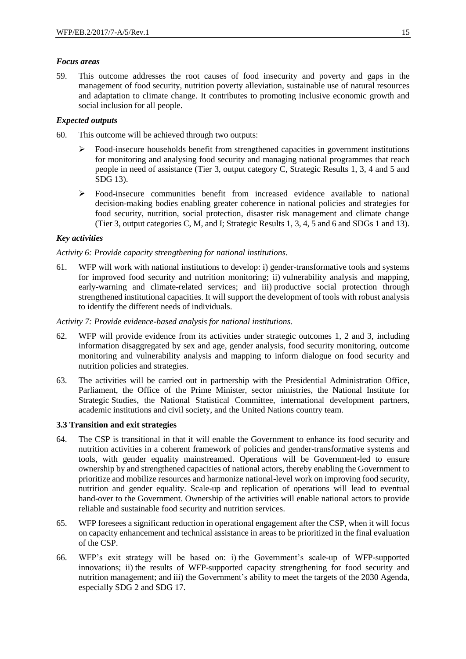## *Focus areas*

59. This outcome addresses the root causes of food insecurity and poverty and gaps in the management of food security, nutrition poverty alleviation, sustainable use of natural resources and adaptation to climate change. It contributes to promoting inclusive economic growth and social inclusion for all people.

## *Expected outputs*

- 60. This outcome will be achieved through two outputs:
	- $\triangleright$  Food-insecure households benefit from strengthened capacities in government institutions for monitoring and analysing food security and managing national programmes that reach people in need of assistance (Tier 3, output category C, Strategic Results 1, 3, 4 and 5 and SDG 13).
	- Food-insecure communities benefit from increased evidence available to national decision-making bodies enabling greater coherence in national policies and strategies for food security, nutrition, social protection, disaster risk management and climate change (Tier 3, output categories C, M, and I; Strategic Results 1, 3, 4, 5 and 6 and SDGs 1 and 13).

## *Key activities*

## *Activity 6: Provide capacity strengthening for national institutions.*

61. WFP will work with national institutions to develop: i) gender-transformative tools and systems for improved food security and nutrition monitoring; ii) vulnerability analysis and mapping, early-warning and climate-related services; and iii) productive social protection through strengthened institutional capacities. It will support the development of tools with robust analysis to identify the different needs of individuals.

## *Activity 7: Provide evidence-based analysis for national institutions.*

- 62. WFP will provide evidence from its activities under strategic outcomes 1, 2 and 3, including information disaggregated by sex and age, gender analysis, food security monitoring, outcome monitoring and vulnerability analysis and mapping to inform dialogue on food security and nutrition policies and strategies.
- 63. The activities will be carried out in partnership with the Presidential Administration Office, Parliament, the Office of the Prime Minister, sector ministries, the National Institute for Strategic Studies, the National Statistical Committee, international development partners, academic institutions and civil society, and the United Nations country team.

## **3.3 Transition and exit strategies**

- 64. The CSP is transitional in that it will enable the Government to enhance its food security and nutrition activities in a coherent framework of policies and gender-transformative systems and tools, with gender equality mainstreamed. Operations will be Government-led to ensure ownership by and strengthened capacities of national actors, thereby enabling the Government to prioritize and mobilize resources and harmonize national-level work on improving food security, nutrition and gender equality. Scale-up and replication of operations will lead to eventual hand-over to the Government. Ownership of the activities will enable national actors to provide reliable and sustainable food security and nutrition services.
- 65. WFP foresees a significant reduction in operational engagement after the CSP, when it will focus on capacity enhancement and technical assistance in areas to be prioritized in the final evaluation of the CSP.
- 66. WFP's exit strategy will be based on: i) the Government's scale-up of WFP-supported innovations; ii) the results of WFP-supported capacity strengthening for food security and nutrition management; and iii) the Government's ability to meet the targets of the 2030 Agenda, especially SDG 2 and SDG 17.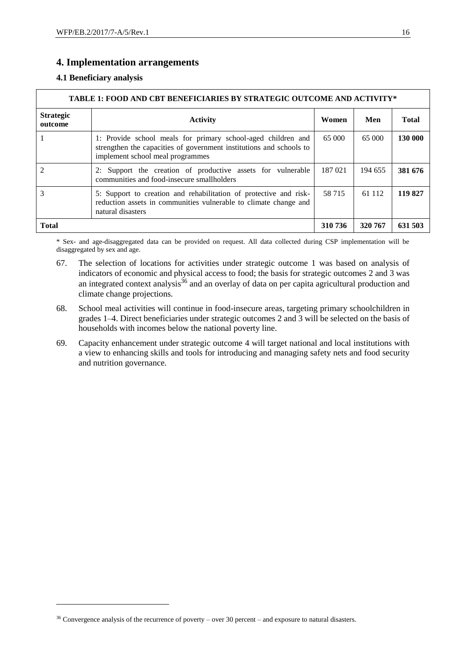## **4. Implementation arrangements**

## **4.1 Beneficiary analysis**

1

| TABLE 1: FOOD AND CBT BENEFICIARIES BY STRATEGIC OUTCOME AND ACTIVITY*                                                                                                                                                                                                                                                                                                                                                                                                            |                                                                                                                                                                         |         |         |              |
|-----------------------------------------------------------------------------------------------------------------------------------------------------------------------------------------------------------------------------------------------------------------------------------------------------------------------------------------------------------------------------------------------------------------------------------------------------------------------------------|-------------------------------------------------------------------------------------------------------------------------------------------------------------------------|---------|---------|--------------|
| <b>Strategic</b><br>outcome                                                                                                                                                                                                                                                                                                                                                                                                                                                       | <b>Activity</b>                                                                                                                                                         | Women   | Men     | <b>Total</b> |
|                                                                                                                                                                                                                                                                                                                                                                                                                                                                                   | 1: Provide school meals for primary school-aged children and<br>strengthen the capacities of government institutions and schools to<br>implement school meal programmes | 65 000  | 65 000  | 130 000      |
| $\mathcal{D}_{\mathcal{L}}^{\mathcal{L}}(\mathcal{L}_{\mathcal{L}}^{\mathcal{L}}(\mathcal{L}_{\mathcal{L}}^{\mathcal{L}}(\mathcal{L}_{\mathcal{L}}^{\mathcal{L}}(\mathcal{L}_{\mathcal{L}}^{\mathcal{L}}(\mathcal{L}_{\mathcal{L}}^{\mathcal{L}}(\mathcal{L}_{\mathcal{L}}^{\mathcal{L}}(\mathcal{L}_{\mathcal{L}}^{\mathcal{L}}(\mathcal{L}_{\mathcal{L}}^{\mathcal{L}}(\mathcal{L}_{\mathcal{L}}^{\mathcal{L}}(\mathcal{L}_{\mathcal{L}}^{\mathcal{L}}(\mathcal{L}_{\mathcal{L$ | 2: Support the creation of productive assets for vulnerable<br>communities and food-insecure smallholders                                                               | 187 021 | 194 655 | 381 676      |
|                                                                                                                                                                                                                                                                                                                                                                                                                                                                                   | 5: Support to creation and rehabilitation of protective and risk-<br>reduction assets in communities vulnerable to climate change and<br>natural disasters              | 58 7 15 | 61 112  | 119 827      |
| <b>Total</b>                                                                                                                                                                                                                                                                                                                                                                                                                                                                      |                                                                                                                                                                         | 310 736 | 320 767 | 631 503      |

\* Sex- and age-disaggregated data can be provided on request. All data collected during CSP implementation will be disaggregated by sex and age.

- 67. The selection of locations for activities under strategic outcome 1 was based on analysis of indicators of economic and physical access to food; the basis for strategic outcomes 2 and 3 was an integrated context analysis $36$  and an overlay of data on per capita agricultural production and climate change projections.
- 68. School meal activities will continue in food-insecure areas, targeting primary schoolchildren in grades 1–4. Direct beneficiaries under strategic outcomes 2 and 3 will be selected on the basis of households with incomes below the national poverty line.
- 69. Capacity enhancement under strategic outcome 4 will target national and local institutions with a view to enhancing skills and tools for introducing and managing safety nets and food security and nutrition governance.

<sup>36</sup> Convergence analysis of the recurrence of poverty – over 30 percent – and exposure to natural disasters.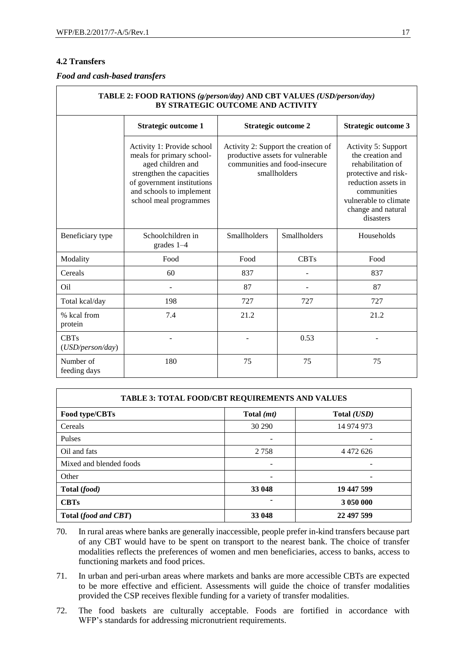## **4.2 Transfers**

Г

*Food and cash-based transfers*

| TABLE 2: FOOD RATIONS (g/person/day) AND CBT VALUES (USD/person/day)<br>BY STRATEGIC OUTCOME AND ACTIVITY |                                                                                                                                                                                               |                                                                                                                          |              |                                                                                                                                                                                        |
|-----------------------------------------------------------------------------------------------------------|-----------------------------------------------------------------------------------------------------------------------------------------------------------------------------------------------|--------------------------------------------------------------------------------------------------------------------------|--------------|----------------------------------------------------------------------------------------------------------------------------------------------------------------------------------------|
|                                                                                                           | <b>Strategic outcome 1</b>                                                                                                                                                                    | <b>Strategic outcome 2</b>                                                                                               |              | <b>Strategic outcome 3</b>                                                                                                                                                             |
|                                                                                                           | Activity 1: Provide school<br>meals for primary school-<br>aged children and<br>strengthen the capacities<br>of government institutions<br>and schools to implement<br>school meal programmes | Activity 2: Support the creation of<br>productive assets for vulnerable<br>communities and food-insecure<br>smallholders |              | Activity 5: Support<br>the creation and<br>rehabilitation of<br>protective and risk-<br>reduction assets in<br>communities<br>vulnerable to climate<br>change and natural<br>disasters |
| Beneficiary type                                                                                          | Schoolchildren in<br>grades $1-4$                                                                                                                                                             | Smallholders                                                                                                             | Smallholders | Households                                                                                                                                                                             |
| Modality                                                                                                  | Food                                                                                                                                                                                          | Food                                                                                                                     | <b>CBTs</b>  | Food                                                                                                                                                                                   |
| Cereals                                                                                                   | 60                                                                                                                                                                                            | 837                                                                                                                      |              | 837                                                                                                                                                                                    |
| Oil                                                                                                       |                                                                                                                                                                                               | 87                                                                                                                       |              | 87                                                                                                                                                                                     |
| Total kcal/day                                                                                            | 198                                                                                                                                                                                           | 727                                                                                                                      | 727          | 727                                                                                                                                                                                    |
| % kcal from<br>protein                                                                                    | 7.4                                                                                                                                                                                           | 21.2                                                                                                                     |              | 21.2                                                                                                                                                                                   |
| <b>CBTs</b><br>(USD/person/day)                                                                           |                                                                                                                                                                                               |                                                                                                                          | 0.53         |                                                                                                                                                                                        |
| Number of<br>feeding days                                                                                 | 180                                                                                                                                                                                           | 75                                                                                                                       | 75           | 75                                                                                                                                                                                     |

| <b>TABLE 3: TOTAL FOOD/CBT REQUIREMENTS AND VALUES</b> |                     |               |
|--------------------------------------------------------|---------------------|---------------|
| Food type/CBTs                                         | Total ( <i>mt</i> ) | Total (USD)   |
| Cereals                                                | 30 290              | 14 974 973    |
| <b>Pulses</b>                                          |                     |               |
| Oil and fats                                           | 2 7 5 8             | 4 4 7 2 6 2 6 |
| Mixed and blended foods                                |                     |               |
| Other                                                  |                     |               |
| Total (food)                                           | 33 048              | 19 447 599    |
| <b>CBTs</b>                                            |                     | 3 050 000     |
| Total (food and CBT)                                   | 33 048              | 22 497 599    |

- 70. In rural areas where banks are generally inaccessible, people prefer in-kind transfers because part of any CBT would have to be spent on transport to the nearest bank. The choice of transfer modalities reflects the preferences of women and men beneficiaries, access to banks, access to functioning markets and food prices.
- 71. In urban and peri-urban areas where markets and banks are more accessible CBTs are expected to be more effective and efficient. Assessments will guide the choice of transfer modalities provided the CSP receives flexible funding for a variety of transfer modalities.
- 72. The food baskets are culturally acceptable. Foods are fortified in accordance with WFP's standards for addressing micronutrient requirements.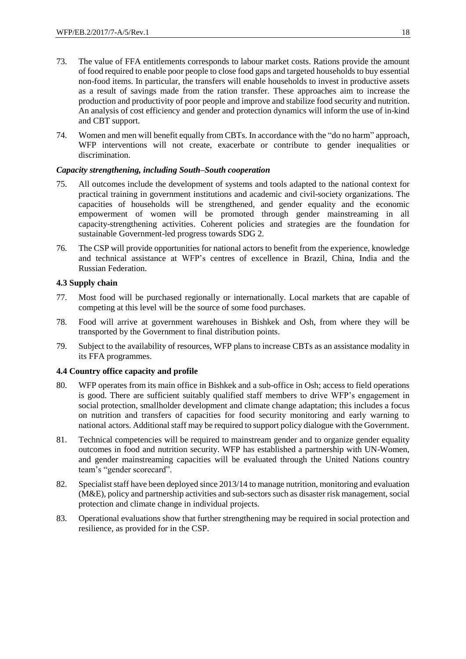- 73. The value of FFA entitlements corresponds to labour market costs. Rations provide the amount of food required to enable poor people to close food gaps and targeted households to buy essential non-food items. In particular, the transfers will enable households to invest in productive assets as a result of savings made from the ration transfer. These approaches aim to increase the production and productivity of poor people and improve and stabilize food security and nutrition. An analysis of cost efficiency and gender and protection dynamics will inform the use of in-kind and CBT support.
- 74. Women and men will benefit equally from CBTs. In accordance with the "do no harm" approach, WFP interventions will not create, exacerbate or contribute to gender inequalities or discrimination.

## *Capacity strengthening, including South–South cooperation*

- 75. All outcomes include the development of systems and tools adapted to the national context for practical training in government institutions and academic and civil-society organizations. The capacities of households will be strengthened, and gender equality and the economic empowerment of women will be promoted through gender mainstreaming in all capacity-strengthening activities. Coherent policies and strategies are the foundation for sustainable Government-led progress towards SDG 2.
- 76. The CSP will provide opportunities for national actors to benefit from the experience, knowledge and technical assistance at WFP's centres of excellence in Brazil, China, India and the Russian Federation.

## **4.3 Supply chain**

- 77. Most food will be purchased regionally or internationally. Local markets that are capable of competing at this level will be the source of some food purchases.
- 78. Food will arrive at government warehouses in Bishkek and Osh, from where they will be transported by the Government to final distribution points.
- 79. Subject to the availability of resources, WFP plans to increase CBTs as an assistance modality in its FFA programmes.

## **4.4 Country office capacity and profile**

- 80. WFP operates from its main office in Bishkek and a sub-office in Osh; access to field operations is good. There are sufficient suitably qualified staff members to drive WFP's engagement in social protection, smallholder development and climate change adaptation; this includes a focus on nutrition and transfers of capacities for food security monitoring and early warning to national actors. Additional staff may be required to support policy dialogue with the Government.
- 81. Technical competencies will be required to mainstream gender and to organize gender equality outcomes in food and nutrition security. WFP has established a partnership with UN-Women, and gender mainstreaming capacities will be evaluated through the United Nations country team's "gender scorecard".
- 82. Specialist staff have been deployed since 2013/14 to manage nutrition, monitoring and evaluation (M&E), policy and partnership activities and sub-sectors such as disaster risk management, social protection and climate change in individual projects.
- 83. Operational evaluations show that further strengthening may be required in social protection and resilience, as provided for in the CSP.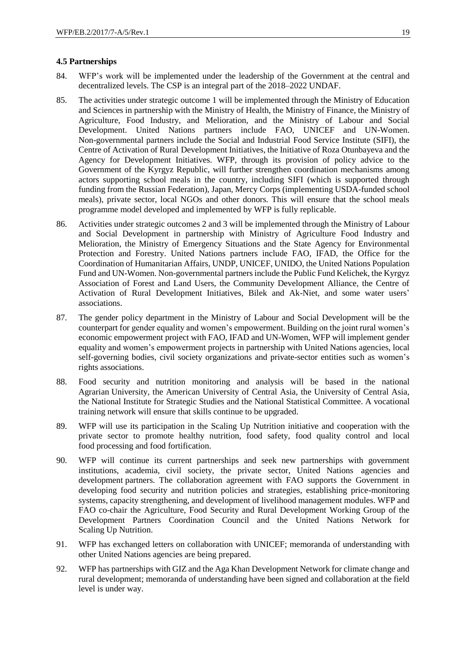## **4.5 Partnerships**

- 84. WFP's work will be implemented under the leadership of the Government at the central and decentralized levels. The CSP is an integral part of the 2018–2022 UNDAF.
- 85. The activities under strategic outcome 1 will be implemented through the Ministry of Education and Sciences in partnership with the Ministry of Health, the Ministry of Finance, the Ministry of Agriculture, Food Industry, and Melioration, and the Ministry of Labour and Social Development. United Nations partners include FAO, UNICEF and UN-Women. Non-governmental partners include the Social and Industrial Food Service Institute (SIFI), the Centre of Activation of Rural Development Initiatives, the Initiative of Roza Otunbayeva and the Agency for Development Initiatives. WFP, through its provision of policy advice to the Government of the Kyrgyz Republic, will further strengthen coordination mechanisms among actors supporting school meals in the country, including SIFI (which is supported through funding from the Russian Federation), Japan, Mercy Corps (implementing USDA-funded school meals), private sector, local NGOs and other donors. This will ensure that the school meals programme model developed and implemented by WFP is fully replicable.
- 86. Activities under strategic outcomes 2 and 3 will be implemented through the Ministry of Labour and Social Development in partnership with Ministry of Agriculture Food Industry and Melioration, the Ministry of Emergency Situations and the State Agency for Environmental Protection and Forestry. United Nations partners include FAO, IFAD, the Office for the Coordination of Humanitarian Affairs, UNDP, UNICEF, UNIDO, the United Nations Population Fund and UN-Women. Non-governmental partners include the Public Fund Kelichek, the Kyrgyz Association of Forest and Land Users, the Community Development Alliance, the Centre of Activation of Rural Development Initiatives, Bilek and Ak-Niet, and some water users' associations.
- 87. The gender policy department in the Ministry of Labour and Social Development will be the counterpart for gender equality and women's empowerment. Building on the joint rural women's economic empowerment project with FAO, IFAD and UN-Women, WFP will implement gender equality and women's empowerment projects in partnership with United Nations agencies, local self-governing bodies, civil society organizations and private-sector entities such as women's rights associations.
- 88. Food security and nutrition monitoring and analysis will be based in the national Agrarian University, the American University of Central Asia, the University of Central Asia, the National Institute for Strategic Studies and the National Statistical Committee. A vocational training network will ensure that skills continue to be upgraded.
- 89. WFP will use its participation in the Scaling Up Nutrition initiative and cooperation with the private sector to promote healthy nutrition, food safety, food quality control and local food processing and food fortification.
- 90. WFP will continue its current partnerships and seek new partnerships with government institutions, academia, civil society, the private sector, United Nations agencies and development partners. The collaboration agreement with FAO supports the Government in developing food security and nutrition policies and strategies, establishing price-monitoring systems, capacity strengthening, and development of livelihood management modules. WFP and FAO co-chair the Agriculture, Food Security and Rural Development Working Group of the Development Partners Coordination Council and the United Nations Network for Scaling Up Nutrition.
- 91. WFP has exchanged letters on collaboration with UNICEF; memoranda of understanding with other United Nations agencies are being prepared.
- 92. WFP has partnerships with GIZ and the Aga Khan Development Network for climate change and rural development; memoranda of understanding have been signed and collaboration at the field level is under way.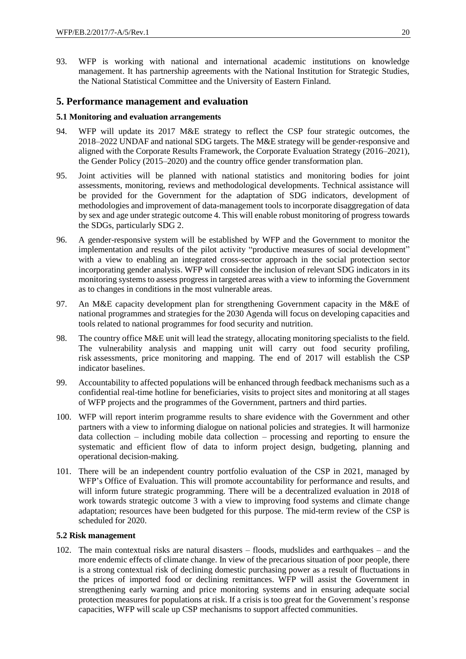93. WFP is working with national and international academic institutions on knowledge management. It has partnership agreements with the National Institution for Strategic Studies, the National Statistical Committee and the University of Eastern Finland.

## **5. Performance management and evaluation**

## **5.1 Monitoring and evaluation arrangements**

- 94. WFP will update its 2017 M&E strategy to reflect the CSP four strategic outcomes, the 2018–2022 UNDAF and national SDG targets. The M&E strategy will be gender-responsive and aligned with the Corporate Results Framework, the Corporate Evaluation Strategy (2016–2021), the Gender Policy (2015–2020) and the country office gender transformation plan.
- 95. Joint activities will be planned with national statistics and monitoring bodies for joint assessments, monitoring, reviews and methodological developments. Technical assistance will be provided for the Government for the adaptation of SDG indicators, development of methodologies and improvement of data-management tools to incorporate disaggregation of data by sex and age under strategic outcome 4. This will enable robust monitoring of progress towards the SDGs, particularly SDG 2.
- 96. A gender-responsive system will be established by WFP and the Government to monitor the implementation and results of the pilot activity "productive measures of social development" with a view to enabling an integrated cross-sector approach in the social protection sector incorporating gender analysis. WFP will consider the inclusion of relevant SDG indicators in its monitoring systems to assess progress in targeted areas with a view to informing the Government as to changes in conditions in the most vulnerable areas.
- 97. An M&E capacity development plan for strengthening Government capacity in the M&E of national programmes and strategies for the 2030 Agenda will focus on developing capacities and tools related to national programmes for food security and nutrition.
- 98. The country office M&E unit will lead the strategy, allocating monitoring specialists to the field. The vulnerability analysis and mapping unit will carry out food security profiling, risk assessments, price monitoring and mapping. The end of 2017 will establish the CSP indicator baselines.
- 99. Accountability to affected populations will be enhanced through feedback mechanisms such as a confidential real-time hotline for beneficiaries, visits to project sites and monitoring at all stages of WFP projects and the programmes of the Government, partners and third parties.
- 100. WFP will report interim programme results to share evidence with the Government and other partners with a view to informing dialogue on national policies and strategies. It will harmonize data collection – including mobile data collection – processing and reporting to ensure the systematic and efficient flow of data to inform project design, budgeting, planning and operational decision-making.
- 101. There will be an independent country portfolio evaluation of the CSP in 2021, managed by WFP's Office of Evaluation. This will promote accountability for performance and results, and will inform future strategic programming. There will be a decentralized evaluation in 2018 of work towards strategic outcome 3 with a view to improving food systems and climate change adaptation; resources have been budgeted for this purpose. The mid-term review of the CSP is scheduled for 2020.

#### **5.2 Risk management**

102. The main contextual risks are natural disasters – floods, mudslides and earthquakes – and the more endemic effects of climate change. In view of the precarious situation of poor people, there is a strong contextual risk of declining domestic purchasing power as a result of fluctuations in the prices of imported food or declining remittances. WFP will assist the Government in strengthening early warning and price monitoring systems and in ensuring adequate social protection measures for populations at risk. If a crisis is too great for the Government's response capacities, WFP will scale up CSP mechanisms to support affected communities.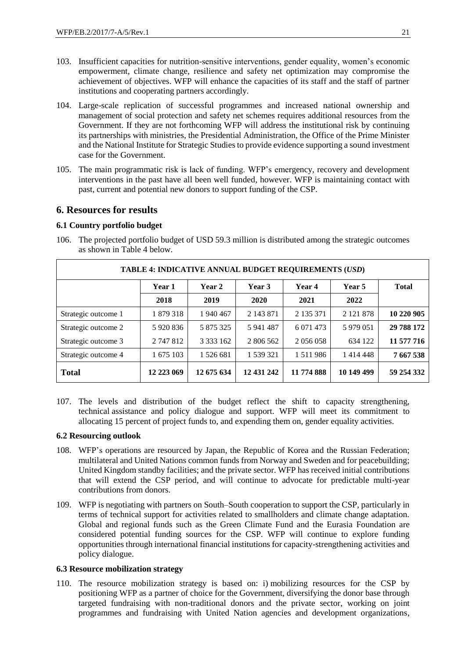- 103. Insufficient capacities for nutrition-sensitive interventions, gender equality, women's economic empowerment, climate change, resilience and safety net optimization may compromise the achievement of objectives. WFP will enhance the capacities of its staff and the staff of partner institutions and cooperating partners accordingly.
- 104. Large-scale replication of successful programmes and increased national ownership and management of social protection and safety net schemes requires additional resources from the Government. If they are not forthcoming WFP will address the institutional risk by continuing its partnerships with ministries, the Presidential Administration, the Office of the Prime Minister and the National Institute for Strategic Studies to provide evidence supporting a sound investment case for the Government.
- 105. The main programmatic risk is lack of funding. WFP's emergency, recovery and development interventions in the past have all been well funded, however. WFP is maintaining contact with past, current and potential new donors to support funding of the CSP.

## **6. Resources for results**

### **6.1 Country portfolio budget**

106. The projected portfolio budget of USD 59.3 million is distributed among the strategic outcomes as shown in Table 4 below.

| TABLE 4: INDICATIVE ANNUAL BUDGET REQUIREMENTS (USD) |            |             |            |               |                 |              |
|------------------------------------------------------|------------|-------------|------------|---------------|-----------------|--------------|
|                                                      | Year 1     | Year 2      | Year 3     | Year 4        | Year 5          | <b>Total</b> |
|                                                      | 2018       | 2019        | 2020       | 2021          | 2022            |              |
| Strategic outcome 1                                  | 1 879 318  | 1 940 467   | 2 143 871  | 2 135 371     | 2 1 2 1 8 7 8   | 10 220 905   |
| Strategic outcome 2                                  | 5 920 836  | 5 875 325   | 5 941 487  | 6 0 71 4 73   | 5 979 051       | 29 788 172   |
| Strategic outcome 3                                  | 2 747 812  | 3 3 3 1 6 2 | 2 806 562  | 2 0 5 6 0 5 8 | 634 122         | 11 577 716   |
| Strategic outcome 4                                  | 1 675 103  | 1 526 681   | 1 539 321  | 1 5 1 1 9 8 6 | 1 4 1 4 4 4 4 8 | 7 667 538    |
| <b>Total</b>                                         | 12 223 069 | 12 675 634  | 12 431 242 | 11 774 888    | 10 149 499      | 59 254 332   |

107. The levels and distribution of the budget reflect the shift to capacity strengthening, technical assistance and policy dialogue and support. WFP will meet its commitment to allocating 15 percent of project funds to, and expending them on, gender equality activities.

### **6.2 Resourcing outlook**

- 108. WFP's operations are resourced by Japan, the Republic of Korea and the Russian Federation; multilateral and United Nations common funds from Norway and Sweden and for peacebuilding; United Kingdom standby facilities; and the private sector. WFP has received initial contributions that will extend the CSP period, and will continue to advocate for predictable multi-year contributions from donors.
- 109. WFP is negotiating with partners on South–South cooperation to support the CSP, particularly in terms of technical support for activities related to smallholders and climate change adaptation. Global and regional funds such as the Green Climate Fund and the Eurasia Foundation are considered potential funding sources for the CSP. WFP will continue to explore funding opportunities through international financial institutions for capacity-strengthening activities and policy dialogue.

## **6.3 Resource mobilization strategy**

110. The resource mobilization strategy is based on: i) mobilizing resources for the CSP by positioning WFP as a partner of choice for the Government, diversifying the donor base through targeted fundraising with non-traditional donors and the private sector, working on joint programmes and fundraising with United Nation agencies and development organizations,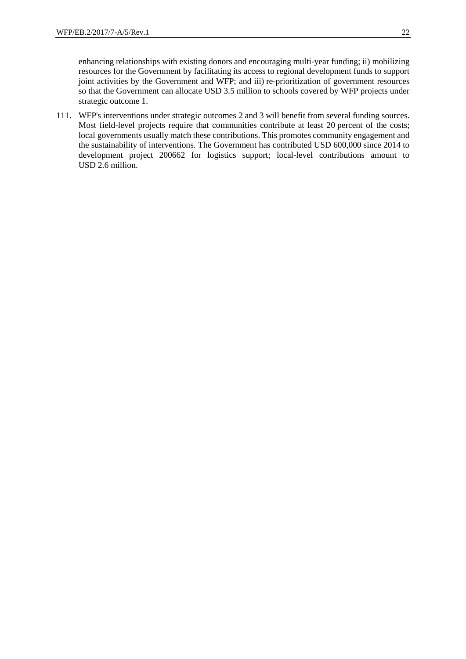enhancing relationships with existing donors and encouraging multi-year funding; ii) mobilizing resources for the Government by facilitating its access to regional development funds to support joint activities by the Government and WFP; and iii) re-prioritization of government resources so that the Government can allocate USD 3.5 million to schools covered by WFP projects under strategic outcome 1.

111. WFP's interventions under strategic outcomes 2 and 3 will benefit from several funding sources. Most field-level projects require that communities contribute at least 20 percent of the costs; local governments usually match these contributions. This promotes community engagement and the sustainability of interventions. The Government has contributed USD 600,000 since 2014 to development project 200662 for logistics support; local-level contributions amount to USD 2.6 million.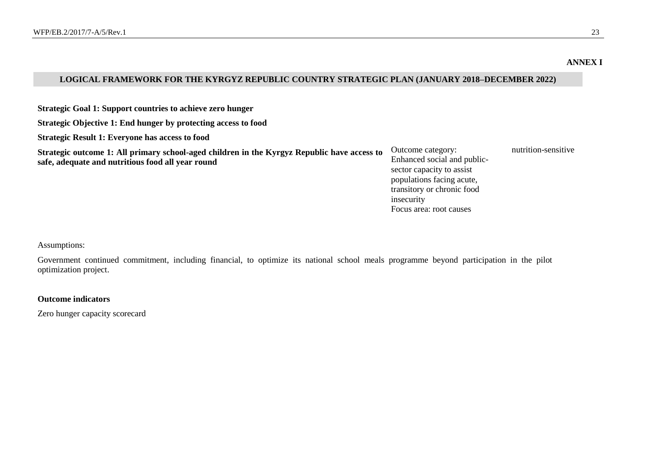#### **ANNEX I**

## **LOGICAL FRAMEWORK FOR THE KYRGYZ REPUBLIC COUNTRY STRATEGIC PLAN (JANUARY 2018–DECEMBER 2022)**

**Strategic Goal 1: Support countries to achieve zero hunger**

**Strategic Objective 1: End hunger by protecting access to food**

**Strategic Result 1: Everyone has access to food**

**Strategic outcome 1: All primary school-aged children in the Kyrgyz Republic have access to safe, adequate and nutritious food all year round**

Outcome category: Enhanced social and publicsector capacity to assist populations facing acute, transitory or chronic food insecurity Focus area: root causes

nutrition-sensitive

Assumptions:

Government continued commitment, including financial, to optimize its national school meals programme beyond participation in the pilot optimization project.

#### **Outcome indicators**

Zero hunger capacity scorecard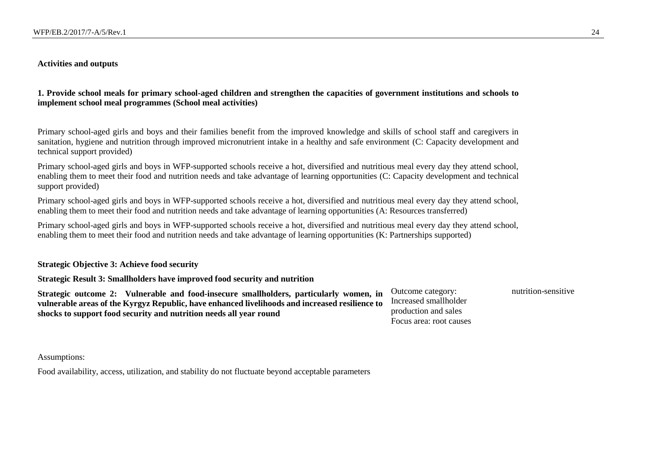#### **Activities and outputs**

**1. Provide school meals for primary school-aged children and strengthen the capacities of government institutions and schools to implement school meal programmes (School meal activities)**

Primary school-aged girls and boys and their families benefit from the improved knowledge and skills of school staff and caregivers in sanitation, hygiene and nutrition through improved micronutrient intake in a healthy and safe environment (C: Capacity development and technical support provided)

Primary school-aged girls and boys in WFP-supported schools receive a hot, diversified and nutritious meal every day they attend school, enabling them to meet their food and nutrition needs and take advantage of learning opportunities (C: Capacity development and technical support provided)

Primary school-aged girls and boys in WFP-supported schools receive a hot, diversified and nutritious meal every day they attend school, enabling them to meet their food and nutrition needs and take advantage of learning opportunities (A: Resources transferred)

Primary school-aged girls and boys in WFP-supported schools receive a hot, diversified and nutritious meal every day they attend school, enabling them to meet their food and nutrition needs and take advantage of learning opportunities (K: Partnerships supported)

#### **Strategic Objective 3: Achieve food security**

## **Strategic Result 3: Smallholders have improved food security and nutrition**

**Strategic outcome 2: Vulnerable and food-insecure smallholders, particularly women, in vulnerable areas of the Kyrgyz Republic, have enhanced livelihoods and increased resilience to shocks to support food security and nutrition needs all year round**

Outcome category: Increased smallholder production and sales Focus area: root causes nutrition-sensitive

#### Assumptions:

Food availability, access, utilization, and stability do not fluctuate beyond acceptable parameters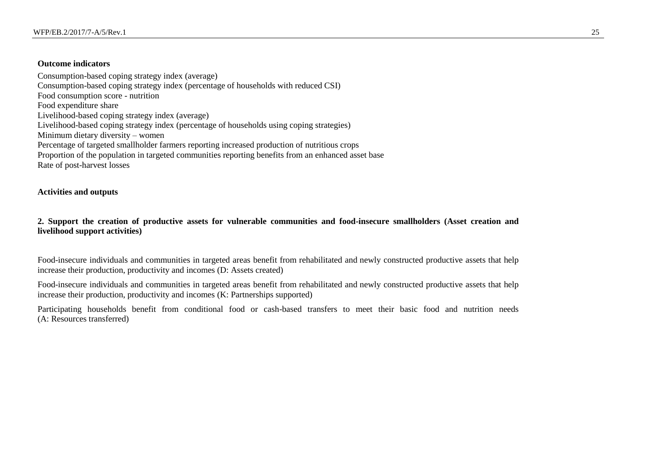#### **Outcome indicators**

Consumption-based coping strategy index (average) Consumption-based coping strategy index (percentage of households with reduced CSI) Food consumption score - nutrition Food expenditure share Livelihood-based coping strategy index (average) Livelihood-based coping strategy index (percentage of households using coping strategies) Minimum dietary diversity – women Percentage of targeted smallholder farmers reporting increased production of nutritious crops Proportion of the population in targeted communities reporting benefits from an enhanced asset base Rate of post-harvest losses

### **Activities and outputs**

**2. Support the creation of productive assets for vulnerable communities and food-insecure smallholders (Asset creation and livelihood support activities)**

Food-insecure individuals and communities in targeted areas benefit from rehabilitated and newly constructed productive assets that help increase their production, productivity and incomes (D: Assets created)

Food-insecure individuals and communities in targeted areas benefit from rehabilitated and newly constructed productive assets that help increase their production, productivity and incomes (K: Partnerships supported)

Participating households benefit from conditional food or cash-based transfers to meet their basic food and nutrition needs (A: Resources transferred)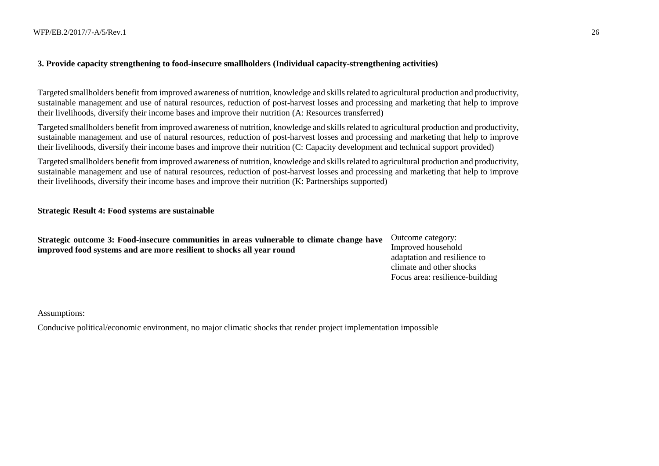## **3. Provide capacity strengthening to food-insecure smallholders (Individual capacity-strengthening activities)**

Targeted smallholders benefit from improved awareness of nutrition, knowledge and skills related to agricultural production and productivity, sustainable management and use of natural resources, reduction of post-harvest losses and processing and marketing that help to improve their livelihoods, diversify their income bases and improve their nutrition (A: Resources transferred)

Targeted smallholders benefit from improved awareness of nutrition, knowledge and skills related to agricultural production and productivity, sustainable management and use of natural resources, reduction of post-harvest losses and processing and marketing that help to improve their livelihoods, diversify their income bases and improve their nutrition (C: Capacity development and technical support provided)

Targeted smallholders benefit from improved awareness of nutrition, knowledge and skills related to agricultural production and productivity, sustainable management and use of natural resources, reduction of post-harvest losses and processing and marketing that help to improve their livelihoods, diversify their income bases and improve their nutrition (K: Partnerships supported)

#### **Strategic Result 4: Food systems are sustainable**

| Strategic outcome 3: Food-insecure communities in areas vulnerable to climate change have | Outcome category:               |
|-------------------------------------------------------------------------------------------|---------------------------------|
| improved food systems and are more resilient to shocks all year round                     | Improved household              |
|                                                                                           | adaptation and resilience to    |
|                                                                                           | climate and other shocks        |
|                                                                                           | Focus area: resilience-building |

Assumptions:

Conducive political/economic environment, no major climatic shocks that render project implementation impossible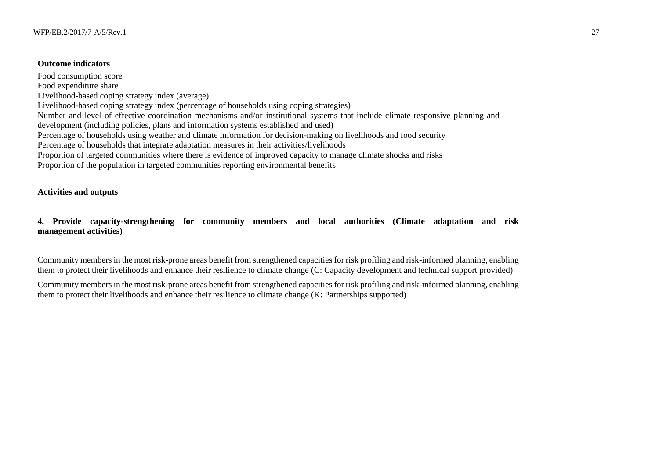#### **Outcome indicators**

Food consumption score Food expenditure share Livelihood-based coping strategy index (average) Livelihood-based coping strategy index (percentage of households using coping strategies) Number and level of effective coordination mechanisms and/or institutional systems that include climate responsive planning and development (including policies, plans and information systems established and used) Percentage of households using weather and climate information for decision-making on livelihoods and food security Percentage of households that integrate adaptation measures in their activities/livelihoods Proportion of targeted communities where there is evidence of improved capacity to manage climate shocks and risks Proportion of the population in targeted communities reporting environmental benefits

## **Activities and outputs**

## **4. Provide capacity-strengthening for community members and local authorities (Climate adaptation and risk management activities)**

Community members in the most risk-prone areas benefit from strengthened capacities for risk profiling and risk-informed planning, enabling them to protect their livelihoods and enhance their resilience to climate change (C: Capacity development and technical support provided)

Community members in the most risk-prone areas benefit from strengthened capacities for risk profiling and risk-informed planning, enabling them to protect their livelihoods and enhance their resilience to climate change (K: Partnerships supported)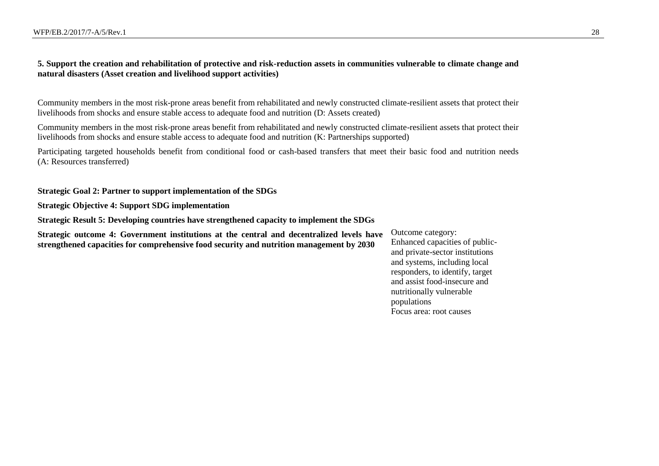## **5. Support the creation and rehabilitation of protective and risk-reduction assets in communities vulnerable to climate change and natural disasters (Asset creation and livelihood support activities)**

Community members in the most risk-prone areas benefit from rehabilitated and newly constructed climate-resilient assets that protect their livelihoods from shocks and ensure stable access to adequate food and nutrition (D: Assets created)

Community members in the most risk-prone areas benefit from rehabilitated and newly constructed climate-resilient assets that protect their livelihoods from shocks and ensure stable access to adequate food and nutrition (K: Partnerships supported)

Participating targeted households benefit from conditional food or cash-based transfers that meet their basic food and nutrition needs (A: Resources transferred)

**Strategic Goal 2: Partner to support implementation of the SDGs**

**Strategic Objective 4: Support SDG implementation**

**Strategic Result 5: Developing countries have strengthened capacity to implement the SDGs**

**Strategic outcome 4: Government institutions at the central and decentralized levels have strengthened capacities for comprehensive food security and nutrition management by 2030**

Outcome category: Enhanced capacities of publicand private-sector institutions and systems, including local responders, to identify, target and assist food-insecure and nutritionally vulnerable populations Focus area: root causes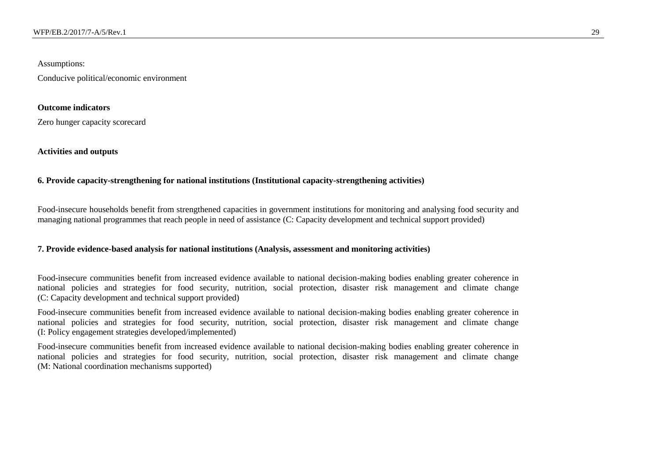### Assumptions:

Conducive political/economic environment

### **Outcome indicators**

Zero hunger capacity scorecard

#### **Activities and outputs**

## **6. Provide capacity-strengthening for national institutions (Institutional capacity-strengthening activities)**

Food-insecure households benefit from strengthened capacities in government institutions for monitoring and analysing food security and managing national programmes that reach people in need of assistance (C: Capacity development and technical support provided)

#### **7. Provide evidence-based analysis for national institutions (Analysis, assessment and monitoring activities)**

Food-insecure communities benefit from increased evidence available to national decision-making bodies enabling greater coherence in national policies and strategies for food security, nutrition, social protection, disaster risk management and climate change (C: Capacity development and technical support provided)

Food-insecure communities benefit from increased evidence available to national decision-making bodies enabling greater coherence in national policies and strategies for food security, nutrition, social protection, disaster risk management and climate change (I: Policy engagement strategies developed/implemented)

Food-insecure communities benefit from increased evidence available to national decision-making bodies enabling greater coherence in national policies and strategies for food security, nutrition, social protection, disaster risk management and climate change (M: National coordination mechanisms supported)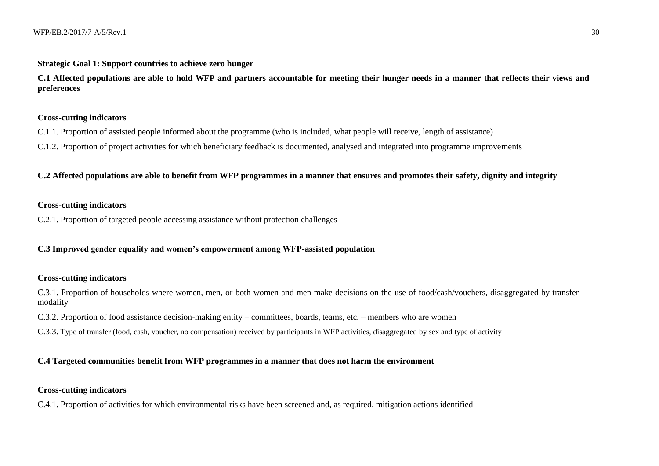#### **Strategic Goal 1: Support countries to achieve zero hunger**

**C.1 Affected populations are able to hold WFP and partners accountable for meeting their hunger needs in a manner that reflects their views and preferences**

## **Cross-cutting indicators**

- C.1.1. Proportion of assisted people informed about the programme (who is included, what people will receive, length of assistance)
- C.1.2. Proportion of project activities for which beneficiary feedback is documented, analysed and integrated into programme improvements

**C.2 Affected populations are able to benefit from WFP programmes in a manner that ensures and promotes their safety, dignity and integrity**

## **Cross-cutting indicators**

C.2.1. Proportion of targeted people accessing assistance without protection challenges

#### **C.3 Improved gender equality and women's empowerment among WFP-assisted population**

### **Cross-cutting indicators**

C.3.1. Proportion of households where women, men, or both women and men make decisions on the use of food/cash/vouchers, disaggregated by transfer modality

C.3.2. Proportion of food assistance decision-making entity – committees, boards, teams, etc. – members who are women

C.3.3. Type of transfer (food, cash, voucher, no compensation) received by participants in WFP activities, disaggregated by sex and type of activity

#### **C.4 Targeted communities benefit from WFP programmes in a manner that does not harm the environment**

#### **Cross-cutting indicators**

C.4.1. Proportion of activities for which environmental risks have been screened and, as required, mitigation actions identified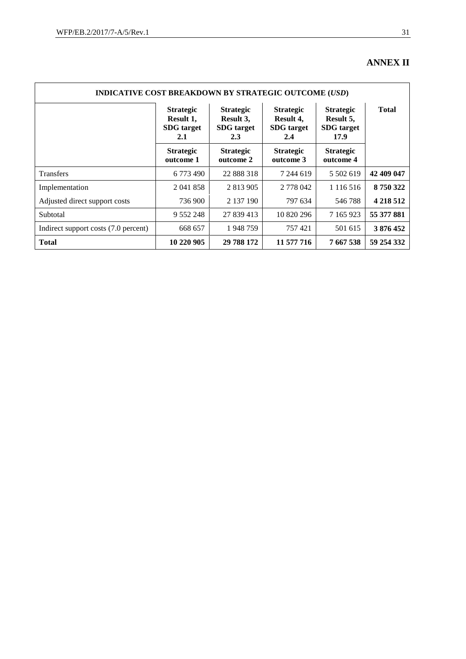## **ANNEX II**

| <b>INDICATIVE COST BREAKDOWN BY STRATEGIC OUTCOME (USD)</b> |                                                           |                                                           |                                                           |                                                            |              |
|-------------------------------------------------------------|-----------------------------------------------------------|-----------------------------------------------------------|-----------------------------------------------------------|------------------------------------------------------------|--------------|
|                                                             | <b>Strategic</b><br>Result 1,<br><b>SDG</b> target<br>2.1 | <b>Strategic</b><br>Result 3,<br><b>SDG</b> target<br>2.3 | <b>Strategic</b><br>Result 4,<br><b>SDG</b> target<br>2.4 | <b>Strategic</b><br>Result 5,<br><b>SDG</b> target<br>17.9 | <b>Total</b> |
|                                                             | <b>Strategic</b><br>outcome 1                             | <b>Strategic</b><br>outcome 2                             | <b>Strategic</b><br>outcome 3                             | <b>Strategic</b><br>outcome 4                              |              |
| Transfers                                                   | 6 773 490                                                 | 22 888 318                                                | 7 244 619                                                 | 5 502 619                                                  | 42 409 047   |
| Implementation                                              | 2 041 858                                                 | 2 813 905                                                 | 2 778 042                                                 | 1 1 1 6 5 1 6                                              | 8750322      |
| Adjusted direct support costs                               | 736 900                                                   | 2 137 190                                                 | 797 634                                                   | 546788                                                     | 4 2 18 5 12  |
| Subtotal                                                    | 9 5 5 2 2 4 8                                             | 27 839 413                                                | 10 820 296                                                | 7 165 923                                                  | 55 377 881   |
| Indirect support costs (7.0 percent)                        | 668 657                                                   | 1948759                                                   | 757421                                                    | 501 615                                                    | 3 876 452    |
| <b>Total</b>                                                | 10 220 905                                                | 29 788 172                                                | 11 577 716                                                | 7 667 538                                                  | 59 254 332   |